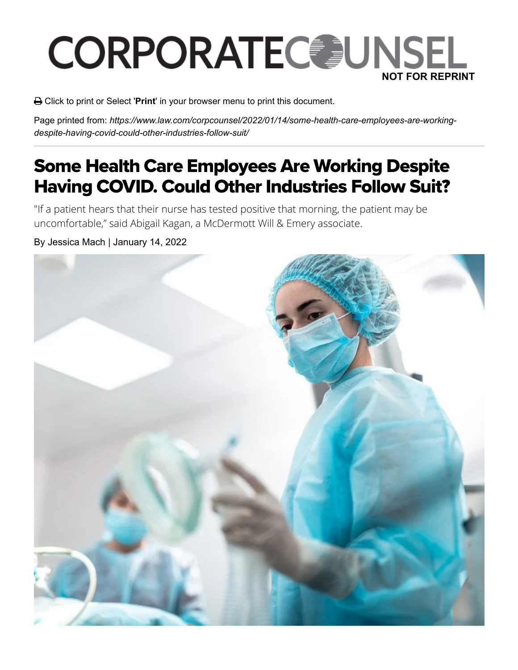## **CORPORATEC JUNSEL NOT FOR REPRINT**

Click to print or Select '**Print**' in your browser menu to print this document.

Page printed from: *https://www.law.com/corpcounsel/2022/01/14/some-health-care-employees-are-workingdespite-having-covid-could-other-industries-follow-suit/*

## Some Health Care Employees Are Working Despite Having COVID. Could Other Industries Follow Suit?

"If a patient hears that their nurse has tested positive that morning, the patient may be uncomfortable," said Abigail Kagan, a McDermott Will & Emery associate.

## By Jessica Mach | January 14, 2022

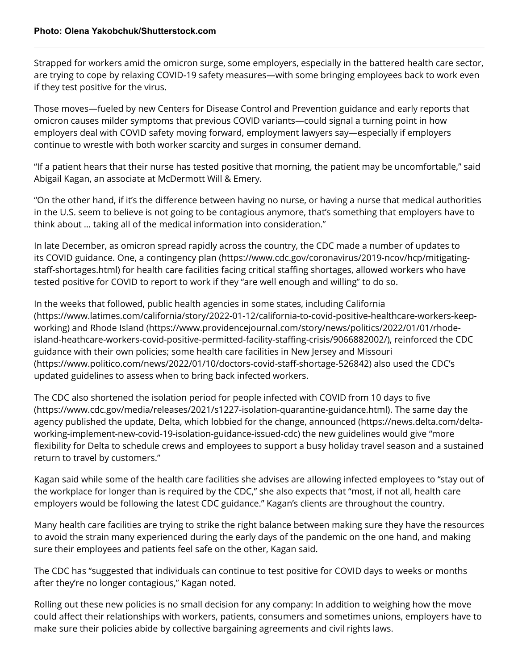Strapped for workers amid the omicron surge, some employers, especially in the battered health care sector, are trying to cope by relaxing COVID-19 safety measures—with some bringing employees back to work even if they test positive for the virus.

Those moves—fueled by new Centers for Disease Control and Prevention guidance and early reports that omicron causes milder symptoms that previous COVID variants—could signal a turning point in how employers deal with COVID safety moving forward, employment lawyers say—especially if employers continue to wrestle with both worker scarcity and surges in consumer demand.

"If a patient hears that their nurse has tested positive that morning, the patient may be uncomfortable," said Abigail Kagan, an associate at McDermott Will & Emery.

"On the other hand, if it's the difference between having no nurse, or having a nurse that medical authorities in the U.S. seem to believe is not going to be contagious anymore, that's something that employers have to think about … taking all of the medical information into consideration."

In late December, as omicron spread rapidly across the country, the CDC made a number of updates to its COVID guidance. One, [a contingency plan \(https://www.cdc.gov/coronavirus/2019-ncov/hcp/mitigating](https://www.cdc.gov/coronavirus/2019-ncov/hcp/mitigating-staff-shortages.html)staff-shortages.html) for health care facilities facing critical staffing shortages, allowed workers who have tested positive for COVID to report to work if they "are well enough and willing" to do so.

In the weeks that followed, public health agencies in some states, including California [\(https://www.latimes.com/california/story/2022-01-12/california-to-covid-positive-healthcare-workers-keep](https://www.latimes.com/california/story/2022-01-12/california-to-covid-positive-healthcare-workers-keep-working)working) and Rhode Island (https://www.providencejournal.com/story/news/politics/2022/01/01/rhode[island-heathcare-workers-covid-positive-permitted-facility-staffing-crisis/9066882002/\), reinforced the C](https://www.providencejournal.com/story/news/politics/2022/01/01/rhode-island-heathcare-workers-covid-positive-permitted-facility-staffing-crisis/9066882002/)DC [guidance with their own policies; some health care facilities in New Jersey and Missouri](https://www.politico.com/news/2022/01/10/doctors-covid-staff-shortage-526842) (https://www.politico.com/news/2022/01/10/doctors-covid-staff-shortage-526842) also used the CDC's updated guidelines to assess when to bring back infected workers.

The CDC also shortened the isolation period for people infected with COVID from 10 days to five [\(https://www.cdc.gov/media/releases/2021/s1227-isolation-quarantine-guidance.html\). The same](https://www.cdc.gov/media/releases/2021/s1227-isolation-quarantine-guidance.html) day the [agency published the update, Delta, which lobbied for the change, announced \(https://news.delta.com/delta](https://news.delta.com/delta-working-implement-new-covid-19-isolation-guidance-issued-cdc)working-implement-new-covid-19-isolation-guidance-issued-cdc) the new guidelines would give "more flexibility for Delta to schedule crews and employees to support a busy holiday travel season and a sustained return to travel by customers."

Kagan said while some of the health care facilities she advises are allowing infected employees to "stay out of the workplace for longer than is required by the CDC," she also expects that "most, if not all, health care employers would be following the latest CDC guidance." Kagan's clients are throughout the country.

Many health care facilities are trying to strike the right balance between making sure they have the resources to avoid the strain many experienced during the early days of the pandemic on the one hand, and making sure their employees and patients feel safe on the other, Kagan said.

The CDC has "suggested that individuals can continue to test positive for COVID days to weeks or months after they're no longer contagious," Kagan noted.

Rolling out these new policies is no small decision for any company: In addition to weighing how the move could affect their relationships with workers, patients, consumers and sometimes unions, employers have to make sure their policies abide by collective bargaining agreements and civil rights laws.